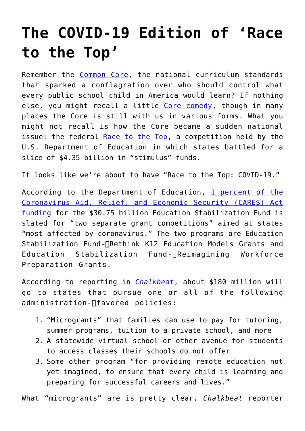## **[The COVID-19 Edition of 'Race](https://intellectualtakeout.org/2020/04/the-covid-19-edition-of-race-to-the-top/) [to the Top'](https://intellectualtakeout.org/2020/04/the-covid-19-edition-of-race-to-the-top/)**

Remember the [Common Core](https://www.cato.org/blog/getting-common-core-federal-facts-right), the national curriculum standards that sparked a conflagration over who should control what every public school child in America would learn? If nothing else, you might recall a little [Core comedy](http://www.cc.com/video-clips/nemi1a/the-colbert-report-common-core-confusion), though in many places the Core is still with us in various forms. What you might not recall is how the Core became a sudden national issue: the federal [Race to the Top,](https://www2.ed.gov/programs/racetothetop/phase1-resources.html) a competition held by the U.S. Department of Education in which states battled for a slice of \$4.35 billion in "stimulus" funds.

It looks like we're about to have "Race to the Top: COVID-19."

According to the Department of Education, [1 percent of the](https://oese.ed.gov/offices/education-stabilization-fund/states-highest-coronavirus-burden/) [Coronavirus Aid, Relief, and Economic Security \(CARES\) Act](https://oese.ed.gov/offices/education-stabilization-fund/states-highest-coronavirus-burden/) [funding](https://oese.ed.gov/offices/education-stabilization-fund/states-highest-coronavirus-burden/) for the \$30.75 billion Education Stabilization Fund is slated for "two separate grant competitions" aimed at states "most affected by coronavirus." The two programs are Education Stabilization Fund-∏Rethink K12 Education Models Grants and Education Stabilization Fund‐Reimagining Workforce Preparation Grants.

According to reporting in *[Chalkbeat](https://www.chalkbeat.org/2020/4/27/21239017/betsy-devos-coronavirus-states-grants-vouchers-virtual-schools)*, about \$180 million will go to states that pursue one or all of the following administration-∏favored policies:

- 1. "Microgrants" that families can use to pay for tutoring, summer programs, tuition to a private school, and more
- 2. A statewide virtual school or other avenue for students to access classes their schools do not offer
- 3. Some other program "for providing remote education not yet imagined, to ensure that every child is learning and preparing for successful careers and lives."

What "microgrants" are is pretty clear. *Chalkbeat* reporter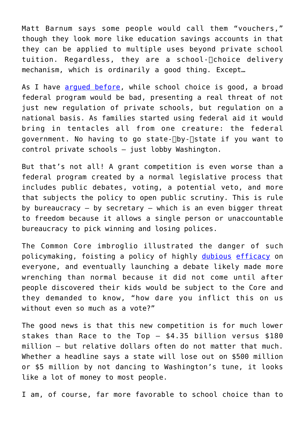Matt Barnum says some people would call them "vouchers," though they look more like education savings accounts in that they can be applied to multiple uses beyond private school tuition. Regardless, they are a school- $\Box$ choice delivery mechanism, which is ordinarily a good thing. Except…

As I have [argued before,](https://www.cato.org/blog/thanks-no-thanks-federal-school-choice) while school choice is good, a broad federal program would be bad, presenting a real threat of not just new regulation of private schools, but regulation on a national basis. As families started using federal aid it would bring in tentacles all from one creature: the federal government. No having to go state-∏by-∏state if you want to control private schools – just lobby Washington.

But that's not all! A grant competition is even worse than a federal program created by a normal legislative process that includes public debates, voting, a potential veto, and more that subjects the policy to open public scrutiny. This is rule by bureaucracy  $-$  by secretary  $-$  which is an even bigger threat to freedom because it allows a single person or unaccountable bureaucracy to pick winning and losing polices.

The Common Core imbroglio illustrated the danger of such policymaking, foisting a policy of highly dubious [efficacy](https://pioneerinstitute.org/academic-standards/study-finds-historic-drop-in-national-reading-and-math-scores-since-adoption-of-common-core-curriculum-standards/) on everyone, and eventually launching a debate likely made more wrenching than normal because it did not come until after people discovered their kids would be subject to the Core and they demanded to know, "how dare you inflict this on us without even so much as a vote?"

The good news is that this new competition is for much lower stakes than Race to the Top – \$4.35 billion versus \$180 million – but relative dollars often do not matter that much. Whether a headline says a state will lose out on \$500 million or \$5 million by not dancing to Washington's tune, it looks like a lot of money to most people.

I am, of course, far more favorable to school choice than to